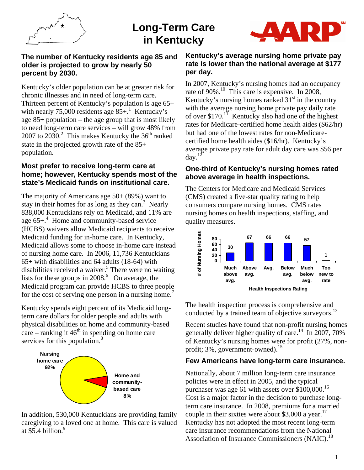

# **Long-Term Care in Kentucky**



#### **The number of Kentucky residents age 85 and older is projected to grow by nearly 50 percent by 2030.**

Kentucky's older population can be at greater risk for chronic illnesses and in need of long-term care. Thirteen percent of Kentucky's population is age 65+ with nearly 75,000 residents age  $85+$ .<sup>1</sup> Kentucky's age 85+ population – the age group that is most likely to need long-term care services – will grow 48% from 2007 to 2030.<sup>2</sup> This makes Kentucky the  $36<sup>th</sup>$  ranked state in the projected growth rate of the 85+ population.

## **Most prefer to receive long-term care at home; however, Kentucky spends most of the state's Medicaid funds on institutional care.**

The majority of Americans age 50+ (89%) want to stay in their homes for as long as they can. $3$  Nearly 838,000 Kentuckians rely on Medicaid, and 11% are age 65+.<sup>4</sup> Home and community-based service (HCBS) waivers allow Medicaid recipients to receive Medicaid funding for in-home care. In Kentucky, Medicaid allows some to choose in-home care instead of nursing home care. In 2006, 11,736 Kentuckians 65+ with disabilities and 64 adults (18-64) with disabilities received a waiver.<sup>5</sup> There were no waiting lists for these groups in  $2008<sup>6</sup>$  On average, the Medicaid program can provide HCBS to three people for the cost of serving one person in a nursing home.<sup>7</sup>

Kentucky spends eight percent of its Medicaid longterm care dollars for older people and adults with physical disabilities on home and community-based care – ranking it  $46<sup>th</sup>$  in spending on home care services for this population.<sup>8</sup>



In addition, 530,000 Kentuckians are providing family caregiving to a loved one at home. This care is valued at  $\$5.4$  billion.<sup>9</sup>

## **Kentucky's average nursing home private pay rate is lower than the national average at \$177 per day.**

In 2007, Kentucky's nursing homes had an occupancy rate of 90%.<sup>10</sup> This care is expensive. In 2008, Kentucky's nursing homes ranked  $31<sup>st</sup>$  in the country with the average nursing home private pay daily rate of over  $$170$ .<sup>11</sup> Kentucky also had one of the highest rates for Medicare-certified home health aides (\$62/hr) but had one of the lowest rates for non-Medicarecertified home health aides (\$16/hr). Kentucky's average private pay rate for adult day care was \$56 per day. $12$ 

## **One-third of Kentucky's nursing homes rated above average in health inspections.**

The Centers for Medicare and Medicaid Services (CMS) created a five-star quality rating to help consumers compare nursing homes. CMS rates nursing homes on health inspections, staffing, and quality measures.



The health inspection process is comprehensive and conducted by a trained team of objective surveyors.<sup>13</sup>

Recent studies have found that non-profit nursing homes generally deliver higher quality of care.<sup>14</sup> In 2007, 70% of Kentucky's nursing homes were for profit (27%, nonprofit;  $3\%$ , government-owned).<sup>15</sup>

## **Few Americans have long-term care insurance.**

Nationally, about 7 million long-term care insurance policies were in effect in 2005, and the typical purchaser was age 61 with assets over  $$100,000$ .<sup>16</sup> Cost is a major factor in the decision to purchase longterm care insurance. In 2008, premiums for a married couple in their sixties were about \$3,000 a year.<sup>17</sup> Kentucky has not adopted the most recent long-term care insurance recommendations from the National Association of Insurance Commissioners  $(NAIC)^{18}$